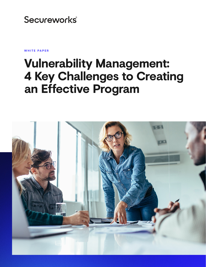# **Secureworks**®

**WHITE PAPER**

# **Vulnerability Management: 4 Key Challenges to Creating an Effective Program**

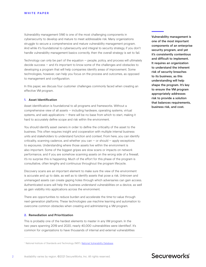Vulnerability management (VM) is one of the most challenging components in cybersecurity to develop and mature to meet addressable risk. Many organizations struggle to secure a comprehensive and mature vulnerability management program. And while it's foundational to cybersecurity and integral to security strategy, if you don't handle vulnerability management basics correctly, then the overall strategy is set to fail.

Technology can only be part of the equation — people, policy, and process will ultimately decide success — and it's important to know some of the challenges and obstacles to developing a program that will help companies identify areas of improvement. Some technologies, however, can help you focus on the process and outcomes, as opposed to management and configuration.

In this paper, we discuss four customer challenges commonly faced when creating an effective VM program.

## **1. Asset Identification**

Asset identification is foundational to all programs and frameworks. Without a comprehensive view of all assets — including hardware, operating systems, virtual systems, and web applications — there will be no base from which to start, making it hard to accurately define scope and risk within the environment.

You should identify asset owners in order to define the criticality of the asset to the business. This often requires insight and cooperation with multiple internal business units and stakeholders to understand function and context. From here, you can identify criticality, scanning cadence, and whether you can  $-$  or should  $-$  apply exceptions to exposures. Understanding where those assets live within the environment is also important. Some of the biggest gripes are slow scans or impacts on network performance, and if you are somehow scanning assets on the wrong side of a firewall, it's no surprise this is happening. Much of the effort for this phase of the program is consultative, often lengthy and continuous throughout the program lifecycle.

Discovery scans are an important element to make sure the view of the environment is accurate and up to date, as well as to identify assets that pose a risk. Unknown and unmanaged assets can create gaping holes through which adversaries can gain access. Authenticated scans will help the business understand vulnerabilities on a device, as well as gain visibility into applications across the environment.

There are opportunities to reduce burden and accelerate the time-to-value through next-generation platforms. These technologies use machine learning and automation to overcome common obstacles when creating and administering a VM program.

## **2. Remediation and Prioritization**

This is probably one of the hardest elements to master in any VM program. In the two years spanning 2019 and 2020, nearly 40,000 vulnerabilities were identified<sup>1</sup>. It's common for organizations to have thousands of internal and external vulnerabilities

Vulnerability management is one of the most important components of an enterprise security program, and yet it's consistently contentious and difficult to implement. It requires an organization to understand the inherent risk of security breaches to its business, as this understanding will help shape the program. It's key to ensure the VM program appropriately addresses risk to provide a solution that balances requirements, business risk, and cost.

# Secureworks

<sup>&</sup>lt;sup>1</sup> National Institute of Standards and Technology (NIST), [National Vulnerability Database](https://nvd.nist.gov/vuln/search/statistics?form_type=Basic&results_type=statistics&search_type=all)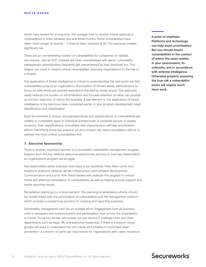which have existed for a long time. The average time to resolve critical application vulnerabilities is often between two and three months. Some vulnerabilities have taken much longer to resolve — if they've been resolved at all. This exposure creates significant risk.

There are an overwhelming number of vulnerabilities for companies to validate and resolve. Just as SOC analysts are often overwhelmed with alerts, vulnerability management administrators frequently get overwhelmed by their workload too. This fatigue can result in missed critical vulnerabilities, exposing organizations to the risk of a breach.

The application of threat intelligence is critical to understanding the real-world risk that vulnerabilities pose to an organization. Prioritization of threats allows administrators to focus on risks which are actively exploited in the wild by threat actors. This approach vastly reduces the burden on administrators and focuses attention on what can provide an intrinsic reduction of risk to the business. A key element to the application of threat intelligence is the laborious tasks completed earlier in your program development: asset identification and classification.

Each environment is unique, and standard feeds and classifications of vulnerabilities are unlikely to completely apply to individual architectures. A complete picture of assets, locations, their classifications, criticalities, and characteristics will help prioritization efforts. Identifying those key assets in an environment can direct remediation efforts to address the most critical vulnerabilities first.

### **3. Executive Sponsorship**

There is another important element to a successful vulnerability management program: Support from the top. Without executive sponsorship and buy-in from key stakeholders, an organization's program will struggle.

Key stakeholders within business units need to be identified. They often come from leaders in endpoint, network, server infrastructure, and software development. Communication and buy-in from these leaders will underpin the program to ensure timely and effective remediation of vulnerabilities, as well as helping provide support and tackle reporting issues.

Remediation planning is a critical element. The planning of remediation efforts should be closely linked with the prioritization of vulnerabilities and the management platform, which provides a closed loop process for tracking and reporting purposes.

Vulnerability management can't be an isolated effort. Engagement from all business units is necessary, and communication and participation from across the organization is critical. Those key parties will include not just various IT business units, but other departments such as legal, HR, and executive leadership. If there is a breach, those groups will need to understand the root cause and whether it could have been prevented – a concern of particular importance for organizations with cyber insurance. A point of emphasis: Platforms and technology can help assist prioritization. But you should assess vulnerabilities in the context of where the asset resides in your environment, its criticality, and in accordance with external intelligence. Otherwise properly assessing the true risk a vulnerability poses will require much more work.

## Secureworks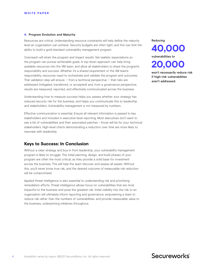#### **4. Program Evolution and Maturity**

Resources are critical. Understanding resource constraints will help define the maturity level an organization can achieve. Security budgets are often tight, and this can limit the ability to build a gold-standard vulnerability management program.

Overreach will strain the program and impact results. Set realistic expectations so the program can pursue achievable goals. A top-down approach can help bring available resources into the VM team, and allow all stakeholders to share the program's responsibility and success. Whether it's a shared requirement or the VM team's responsibility, resources need to orchestrate and validate the program and outcomes. That validation step will ensure  $-$  from a technical perspective  $-$  that risks are addressed (mitigated, transferred, or accepted) and, from a governance perspective, results are measured, reported, and effectively communicated across the business.

Understanding how to measure success helps you assess whether your strategy has reduced security risk for the business, and helps you communicate this to leadership and stakeholders. Vulnerability management is not measured by numbers.

Effective communication is essential. Ensure all relevant information is passed to key stakeholders and included in executive-level reporting. Most executives don't want to see a list of vulnerabilities and their associated patches – those will be for your technical stakeholders. High-level charts demonstrating a reduction over time are more likely to resonate with leadership.

## **Keys to Success: In Conclusion**

Without a clear strategy and buy-in from leadership, your vulnerability management program is likely to struggle. The initial planning, design, and build phases of your program are often the most critical, as they provide a solid base for investment across the business. This will help the team discover and assess all assets. Without this, you'll never know true risk, and the desired outcome of measurable risk reduction will be compromised.

Applied threat intelligence is also essential to understanding risk and prioritizing remediation efforts. Threat intelligence allows focus on vulnerabilities that are most impactful to the business and pose the greatest risk. Initial visibility into the risk to an organization will ultimately inform reporting and governance, empowering a team to reduce risk rather than the numbers of vulnerabilities, and provide measurable value to the business, underpinning initiatives throughout.

Reducing



won't necessarily reduce risk if high-risk vulnerabilities aren't addressed.